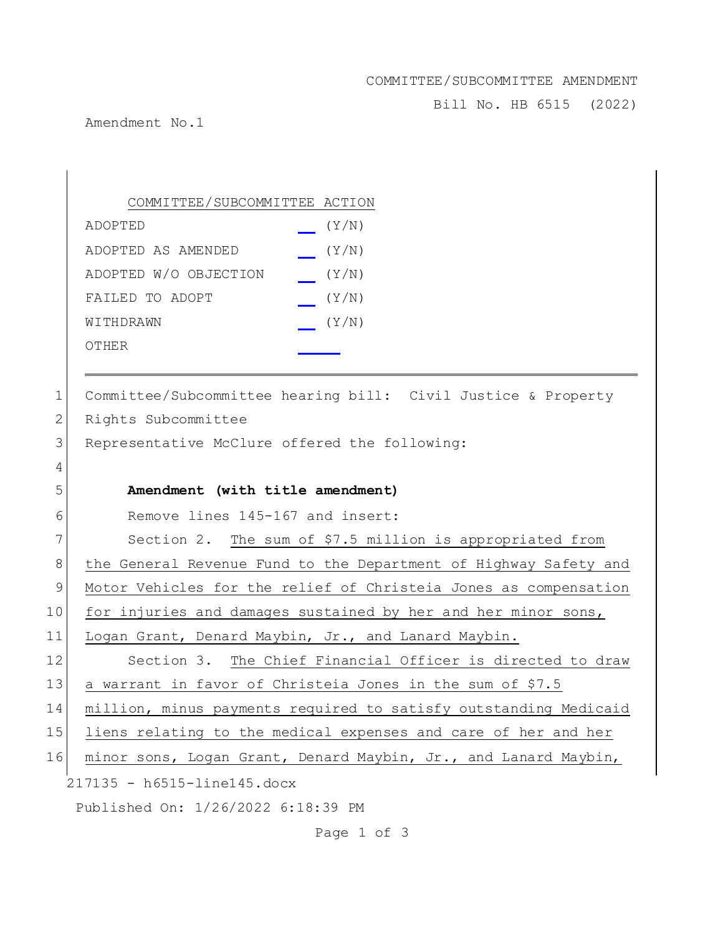## COMMITTEE/SUBCOMMITTEE AMENDMENT

Bill No. HB 6515 (2022)

Amendment No.1

|    | COMMITTEE/SUBCOMMITTEE ACTION                                    |
|----|------------------------------------------------------------------|
|    | (Y/N)<br>ADOPTED                                                 |
|    | ADOPTED AS AMENDED<br>(Y/N)                                      |
|    | ADOPTED W/O OBJECTION<br>(Y/N)                                   |
|    | (Y/N)<br>FAILED TO ADOPT                                         |
|    | (Y/N)<br>WITHDRAWN                                               |
|    | OTHER                                                            |
|    |                                                                  |
| 1  | Committee/Subcommittee hearing bill: Civil Justice & Property    |
| 2  | Rights Subcommittee                                              |
| 3  | Representative McClure offered the following:                    |
| 4  |                                                                  |
| 5  | Amendment (with title amendment)                                 |
| 6  | Remove lines 145-167 and insert:                                 |
| 7  | Section 2. The sum of \$7.5 million is appropriated from         |
| 8  | the General Revenue Fund to the Department of Highway Safety and |
| 9  | Motor Vehicles for the relief of Christeia Jones as compensation |
| 10 | for injuries and damages sustained by her and her minor sons,    |
| 11 | Logan Grant, Denard Maybin, Jr., and Lanard Maybin.              |
| 12 | Section 3. The Chief Financial Officer is directed to draw       |
| 13 | a warrant in favor of Christeia Jones in the sum of \$7.5        |
| 14 | million, minus payments required to satisfy outstanding Medicaid |

15 liens relating to the medical expenses and care of her and her

16 minor sons, Logan Grant, Denard Maybin, Jr., and Lanard Maybin,

217135 - h6515-line145.docx

Published On: 1/26/2022 6:18:39 PM

Page 1 of 3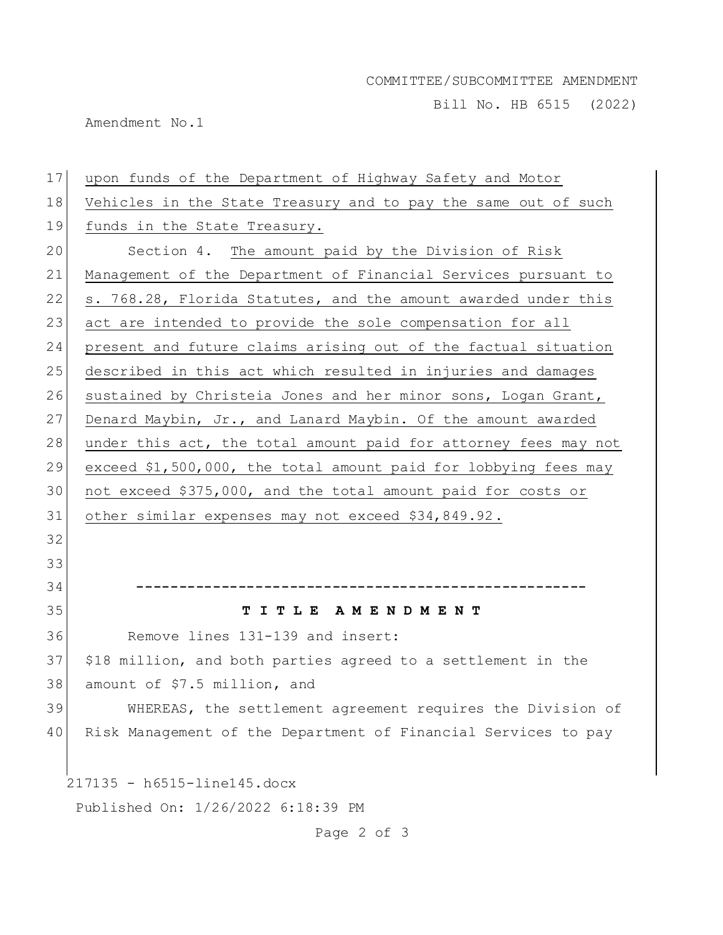## COMMITTEE/SUBCOMMITTEE AMENDMENT

Bill No. HB 6515 (2022)

Amendment No.1

| 17                                 | upon funds of the Department of Highway Safety and Motor        |  |
|------------------------------------|-----------------------------------------------------------------|--|
| 18                                 | Vehicles in the State Treasury and to pay the same out of such  |  |
| 19                                 | funds in the State Treasury.                                    |  |
| 20                                 | Section 4. The amount paid by the Division of Risk              |  |
| 21                                 | Management of the Department of Financial Services pursuant to  |  |
| 22                                 | s. 768.28, Florida Statutes, and the amount awarded under this  |  |
| 23                                 | act are intended to provide the sole compensation for all       |  |
| 24                                 | present and future claims arising out of the factual situation  |  |
| 25                                 | described in this act which resulted in injuries and damages    |  |
| 26                                 | sustained by Christeia Jones and her minor sons, Logan Grant,   |  |
| 27                                 | Denard Maybin, Jr., and Lanard Maybin. Of the amount awarded    |  |
| 28                                 | under this act, the total amount paid for attorney fees may not |  |
| 29                                 | exceed \$1,500,000, the total amount paid for lobbying fees may |  |
| 30                                 | not exceed \$375,000, and the total amount paid for costs or    |  |
| 31                                 | other similar expenses may not exceed \$34,849.92.              |  |
| 32                                 |                                                                 |  |
| 33                                 |                                                                 |  |
| 34                                 |                                                                 |  |
| 35                                 | TITLE AMENDMENT                                                 |  |
| 36                                 | Remove lines 131-139 and insert:                                |  |
| 37                                 | \$18 million, and both parties agreed to a settlement in the    |  |
| 38                                 | amount of \$7.5 million, and                                    |  |
| 39                                 | WHEREAS, the settlement agreement requires the Division of      |  |
| 40                                 | Risk Management of the Department of Financial Services to pay  |  |
|                                    |                                                                 |  |
|                                    | 217135 - h6515-line145.docx                                     |  |
| Published On: 1/26/2022 6:18:39 PM |                                                                 |  |

Page 2 of 3